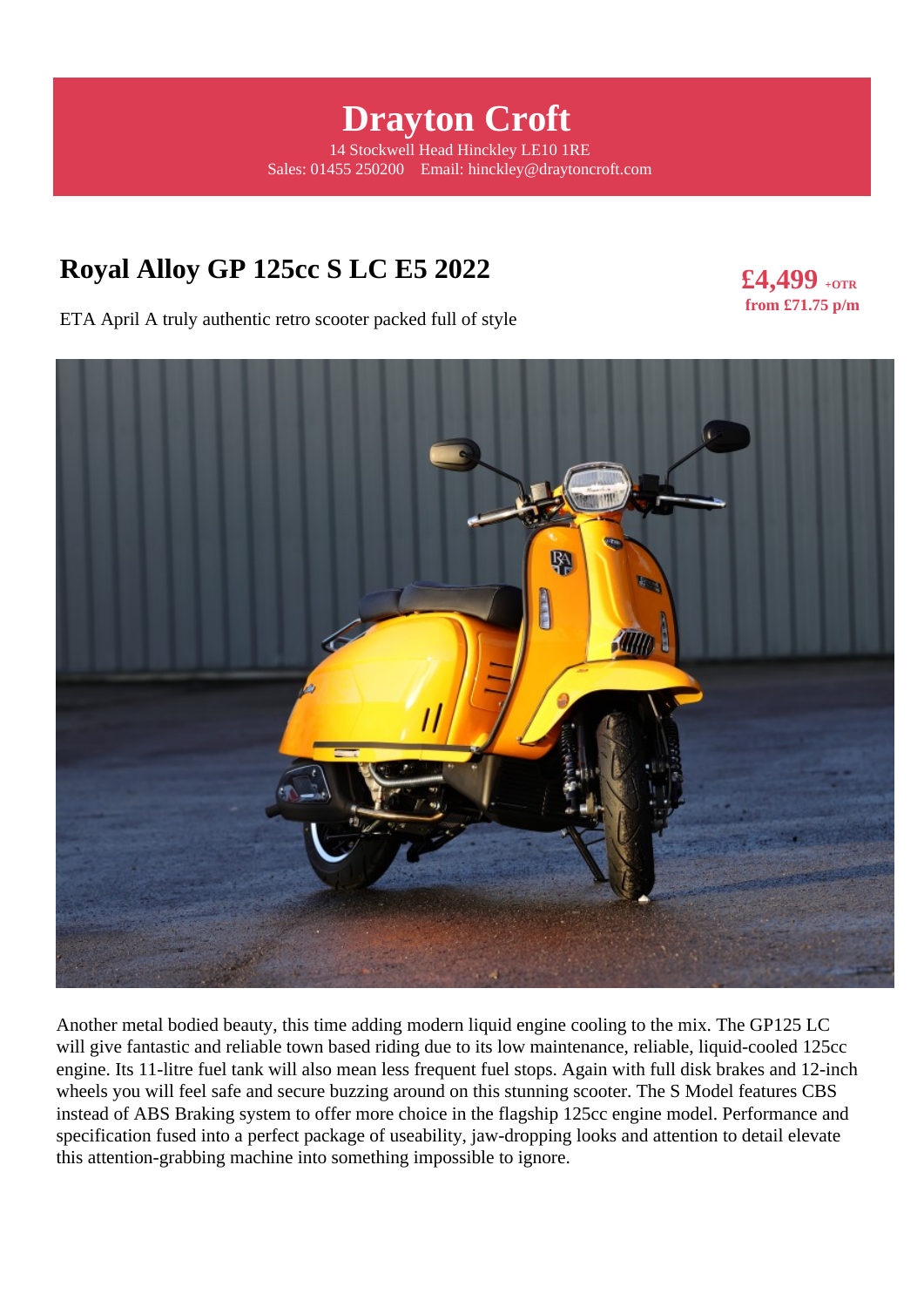# **Drayton Croft**

14 Stockwell Head Hinckley LE10 1RE Sales: 01455 250200 Email: hinckley@draytoncroft.com

# **Royal Alloy GP 125cc S LC E5 2022**

**£4,499 +OTR from £71.75 p/m** 

ETA April A truly authentic retro scooter packed full of style



Another metal bodied beauty, this time adding modern liquid engine cooling to the mix. The GP125 LC will give fantastic and reliable town based riding due to its low maintenance, reliable, liquid-cooled 125cc engine. Its 11-litre fuel tank will also mean less frequent fuel stops. Again with full disk brakes and 12-inch wheels you will feel safe and secure buzzing around on this stunning scooter. The S Model features CBS instead of ABS Braking system to offer more choice in the flagship 125cc engine model. Performance and specification fused into a perfect package of useability, jaw-dropping looks and attention to detail elevate this attention-grabbing machine into something impossible to ignore.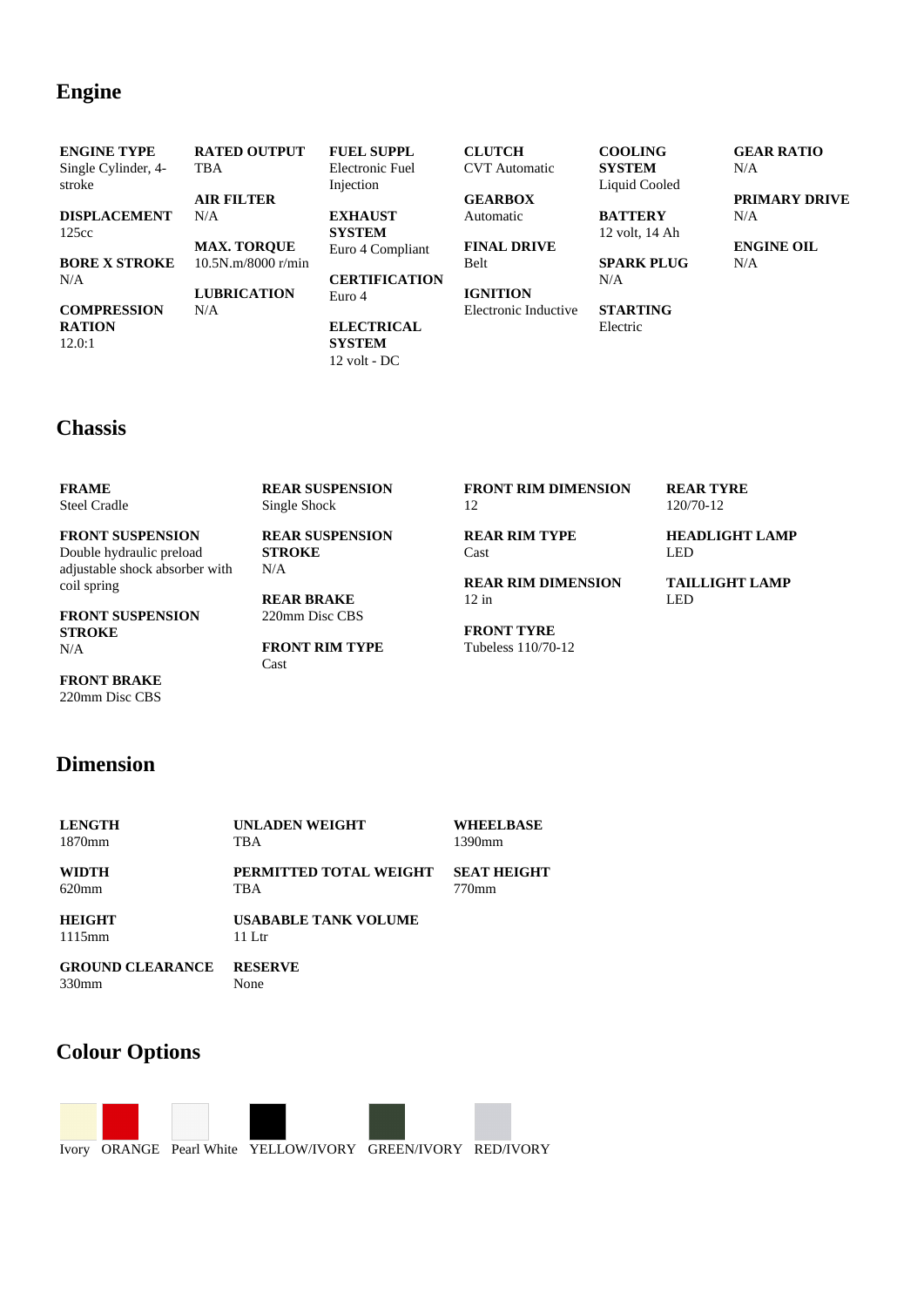### **Engine**

| <b>ENGINE TYPE</b>   | <b>RATED OUTPUT</b> | <b>FUEL SUPPL</b>    | <b>CLUTCH</b>        | <b>COOLING</b>    | <b>GEAR RATIO</b>    |
|----------------------|---------------------|----------------------|----------------------|-------------------|----------------------|
| Single Cylinder, 4-  | <b>TBA</b>          | Electronic Fuel      | <b>CVT</b> Automatic | <b>SYSTEM</b>     | N/A                  |
| stroke               |                     | Injection            |                      | Liquid Cooled     |                      |
|                      | <b>AIR FILTER</b>   |                      | <b>GEARBOX</b>       |                   | <b>PRIMARY DRIVE</b> |
| <b>DISPLACEMENT</b>  | N/A                 | <b>EXHAUST</b>       | Automatic            | <b>BATTERY</b>    | N/A                  |
| 125cc                |                     | <b>SYSTEM</b>        |                      | 12 volt, 14 Ah    |                      |
|                      | <b>MAX. TORQUE</b>  | Euro 4 Compliant     | <b>FINAL DRIVE</b>   |                   | <b>ENGINE OIL</b>    |
| <b>BORE X STROKE</b> | 10.5N.m/8000 r/min  |                      | <b>Belt</b>          | <b>SPARK PLUG</b> | N/A                  |
| N/A                  |                     | <b>CERTIFICATION</b> |                      | N/A               |                      |
|                      | <b>LUBRICATION</b>  | Euro 4               | <b>IGNITION</b>      |                   |                      |
| <b>COMPRESSION</b>   | N/A                 |                      | Electronic Inductive | <b>STARTING</b>   |                      |
| <b>RATION</b>        |                     | <b>ELECTRICAL</b>    |                      | Electric          |                      |
| 12.0:1               |                     | <b>SYSTEM</b>        |                      |                   |                      |

### **Chassis**

| <b>FRAME</b><br><b>Steel Cradle</b> | <b>REAR SUSPENSION</b><br>Single Shock | <b>FRONT RIM DIMENSION</b><br>12 | <b>REAR TYRE</b><br>120/70-12 |
|-------------------------------------|----------------------------------------|----------------------------------|-------------------------------|
| <b>FRONT SUSPENSION</b>             | <b>REAR SUSPENSION</b>                 | <b>REAR RIM TYPE</b>             | <b>HEADLIGHT LAMP</b>         |
| Double hydraulic preload            | <b>STROKE</b>                          | Cast                             | <b>LED</b>                    |
| adjustable shock absorber with      | N/A                                    |                                  |                               |
| coil spring                         |                                        | <b>REAR RIM DIMENSION</b>        | <b>TAILLIGHT LAMP</b>         |
|                                     | <b>REAR BRAKE</b>                      | 12 in                            | <b>LED</b>                    |
| <b>FRONT SUSPENSION</b>             | 220mm Disc CBS                         |                                  |                               |
| <b>STROKE</b>                       |                                        | <b>FRONT TYRE</b>                |                               |
| N/A                                 | <b>FRONT RIM TYPE</b>                  | Tubeless 110/70-12               |                               |

220mm Disc CBS

**FRONT BRAKE**

12 volt - DC

**FRONT RIM TYPE** Cast

# **Dimension**

| <b>LENGTH</b>           | UNLADEN WEIGHT              | <b>WHEELBASE</b>   |
|-------------------------|-----------------------------|--------------------|
| 1870mm                  | TBA                         | 1390mm             |
| <b>WIDTH</b>            | PERMITTED TOTAL WEIGHT      | <b>SEAT HEIGHT</b> |
| $620$ mm                | TBA                         | 770mm              |
| <b>HEIGHT</b>           | <b>USABABLE TANK VOLUME</b> |                    |
| $1115$ mm               | $11$ Ltr                    |                    |
| <b>GROUND CLEARANCE</b> | <b>RESERVE</b>              |                    |
| 330mm                   | None                        |                    |

## **Colour Options**